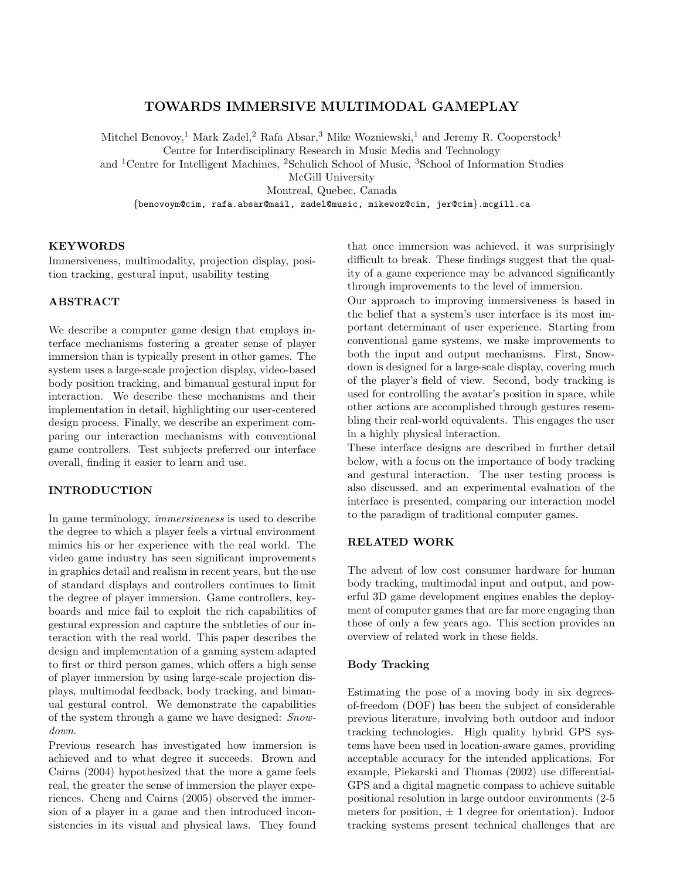# TOWARDS IMMERSIVE MULTIMODAL GAMEPLAY

Mitchel Benovoy,<sup>1</sup> Mark Zadel,<sup>2</sup> Rafa Absar,<sup>3</sup> Mike Wozniewski,<sup>1</sup> and Jeremy R. Cooperstock<sup>1</sup> Centre for Interdisciplinary Research in Music Media and Technology

and <sup>1</sup>Centre for Intelligent Machines, <sup>2</sup>Schulich School of Music, <sup>3</sup>School of Information Studies

McGill University

Montreal, Quebec, Canada

{benovoym@cim, rafa.absar@mail, zadel@music, mikewoz@cim, jer@cim}.mcgill.ca

#### KEYWORDS

Immersiveness, multimodality, projection display, position tracking, gestural input, usability testing

### ABSTRACT

We describe a computer game design that employs interface mechanisms fostering a greater sense of player immersion than is typically present in other games. The system uses a large-scale projection display, video-based body position tracking, and bimanual gestural input for interaction. We describe these mechanisms and their implementation in detail, highlighting our user-centered design process. Finally, we describe an experiment comparing our interaction mechanisms with conventional game controllers. Test subjects preferred our interface overall, finding it easier to learn and use.

# INTRODUCTION

In game terminology, immersiveness is used to describe the degree to which a player feels a virtual environment mimics his or her experience with the real world. The video game industry has seen significant improvements in graphics detail and realism in recent years, but the use of standard displays and controllers continues to limit the degree of player immersion. Game controllers, keyboards and mice fail to exploit the rich capabilities of gestural expression and capture the subtleties of our interaction with the real world. This paper describes the design and implementation of a gaming system adapted to first or third person games, which offers a high sense of player immersion by using large-scale projection displays, multimodal feedback, body tracking, and bimanual gestural control. We demonstrate the capabilities of the system through a game we have designed: Snowdown.

Previous research has investigated how immersion is achieved and to what degree it succeeds. Brown and Cairns (2004) hypothesized that the more a game feels real, the greater the sense of immersion the player experiences. Cheng and Cairns (2005) observed the immersion of a player in a game and then introduced inconsistencies in its visual and physical laws. They found that once immersion was achieved, it was surprisingly difficult to break. These findings suggest that the quality of a game experience may be advanced significantly through improvements to the level of immersion.

Our approach to improving immersiveness is based in the belief that a system's user interface is its most important determinant of user experience. Starting from conventional game systems, we make improvements to both the input and output mechanisms. First, Snowdown is designed for a large-scale display, covering much of the player's field of view. Second, body tracking is used for controlling the avatar's position in space, while other actions are accomplished through gestures resembling their real-world equivalents. This engages the user in a highly physical interaction.

These interface designs are described in further detail below, with a focus on the importance of body tracking and gestural interaction. The user testing process is also discussed, and an experimental evaluation of the interface is presented, comparing our interaction model to the paradigm of traditional computer games.

## RELATED WORK

The advent of low cost consumer hardware for human body tracking, multimodal input and output, and powerful 3D game development engines enables the deployment of computer games that are far more engaging than those of only a few years ago. This section provides an overview of related work in these fields.

#### Body Tracking

Estimating the pose of a moving body in six degreesof-freedom (DOF) has been the subject of considerable previous literature, involving both outdoor and indoor tracking technologies. High quality hybrid GPS systems have been used in location-aware games, providing acceptable accuracy for the intended applications. For example, Piekarski and Thomas (2002) use differential-GPS and a digital magnetic compass to achieve suitable positional resolution in large outdoor environments (2-5 meters for position,  $\pm 1$  degree for orientation). Indoor tracking systems present technical challenges that are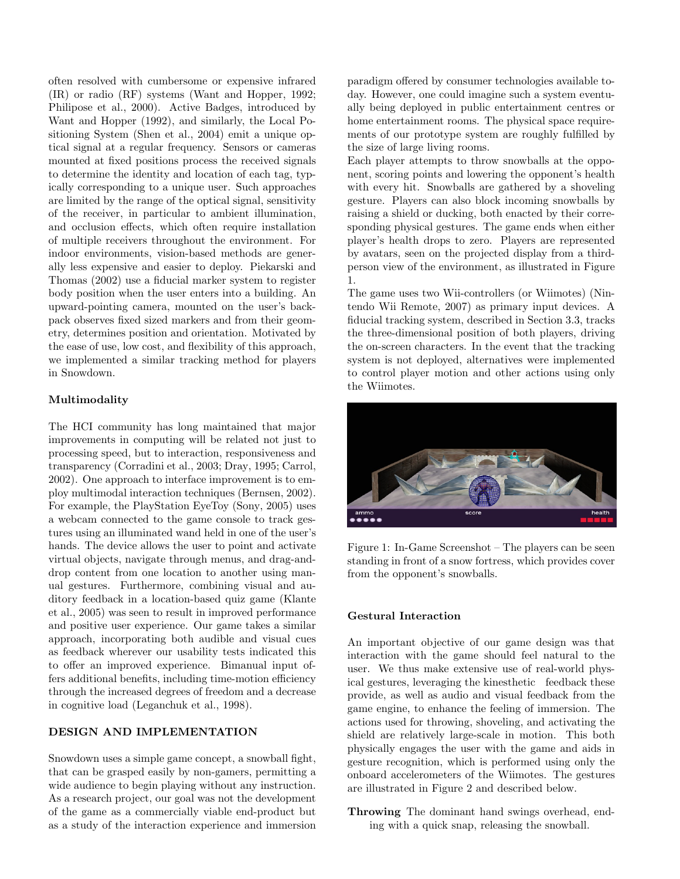often resolved with cumbersome or expensive infrared (IR) or radio (RF) systems (Want and Hopper, 1992; Philipose et al., 2000). Active Badges, introduced by Want and Hopper (1992), and similarly, the Local Positioning System (Shen et al., 2004) emit a unique optical signal at a regular frequency. Sensors or cameras mounted at fixed positions process the received signals to determine the identity and location of each tag, typically corresponding to a unique user. Such approaches are limited by the range of the optical signal, sensitivity of the receiver, in particular to ambient illumination, and occlusion effects, which often require installation of multiple receivers throughout the environment. For indoor environments, vision-based methods are generally less expensive and easier to deploy. Piekarski and Thomas (2002) use a fiducial marker system to register body position when the user enters into a building. An upward-pointing camera, mounted on the user's backpack observes fixed sized markers and from their geometry, determines position and orientation. Motivated by the ease of use, low cost, and flexibility of this approach, we implemented a similar tracking method for players in Snowdown.

## Multimodality

The HCI community has long maintained that major improvements in computing will be related not just to processing speed, but to interaction, responsiveness and transparency (Corradini et al., 2003; Dray, 1995; Carrol, 2002). One approach to interface improvement is to employ multimodal interaction techniques (Bernsen, 2002). For example, the PlayStation EyeToy (Sony, 2005) uses a webcam connected to the game console to track gestures using an illuminated wand held in one of the user's hands. The device allows the user to point and activate virtual objects, navigate through menus, and drag-anddrop content from one location to another using manual gestures. Furthermore, combining visual and auditory feedback in a location-based quiz game (Klante et al., 2005) was seen to result in improved performance and positive user experience. Our game takes a similar approach, incorporating both audible and visual cues as feedback wherever our usability tests indicated this to offer an improved experience. Bimanual input offers additional benefits, including time-motion efficiency through the increased degrees of freedom and a decrease in cognitive load (Leganchuk et al., 1998).

## DESIGN AND IMPLEMENTATION

Snowdown uses a simple game concept, a snowball fight, that can be grasped easily by non-gamers, permitting a wide audience to begin playing without any instruction. As a research project, our goal was not the development of the game as a commercially viable end-product but as a study of the interaction experience and immersion paradigm offered by consumer technologies available today. However, one could imagine such a system eventually being deployed in public entertainment centres or home entertainment rooms. The physical space requirements of our prototype system are roughly fulfilled by the size of large living rooms.

Each player attempts to throw snowballs at the opponent, scoring points and lowering the opponent's health with every hit. Snowballs are gathered by a shoveling gesture. Players can also block incoming snowballs by raising a shield or ducking, both enacted by their corresponding physical gestures. The game ends when either player's health drops to zero. Players are represented by avatars, seen on the projected display from a thirdperson view of the environment, as illustrated in Figure 1.

The game uses two Wii-controllers (or Wiimotes) (Nintendo Wii Remote, 2007) as primary input devices. A fiducial tracking system, described in Section 3.3, tracks the three-dimensional position of both players, driving the on-screen characters. In the event that the tracking system is not deployed, alternatives were implemented to control player motion and other actions using only the Wiimotes.



Figure 1: In-Game Screenshot – The players can be seen standing in front of a snow fortress, which provides cover from the opponent's snowballs.

# Gestural Interaction

An important objective of our game design was that interaction with the game should feel natural to the user. We thus make extensive use of real-world physical gestures, leveraging the kinesthetic feedback these provide, as well as audio and visual feedback from the game engine, to enhance the feeling of immersion. The actions used for throwing, shoveling, and activating the shield are relatively large-scale in motion. This both physically engages the user with the game and aids in gesture recognition, which is performed using only the onboard accelerometers of the Wiimotes. The gestures are illustrated in Figure 2 and described below.

Throwing The dominant hand swings overhead, ending with a quick snap, releasing the snowball.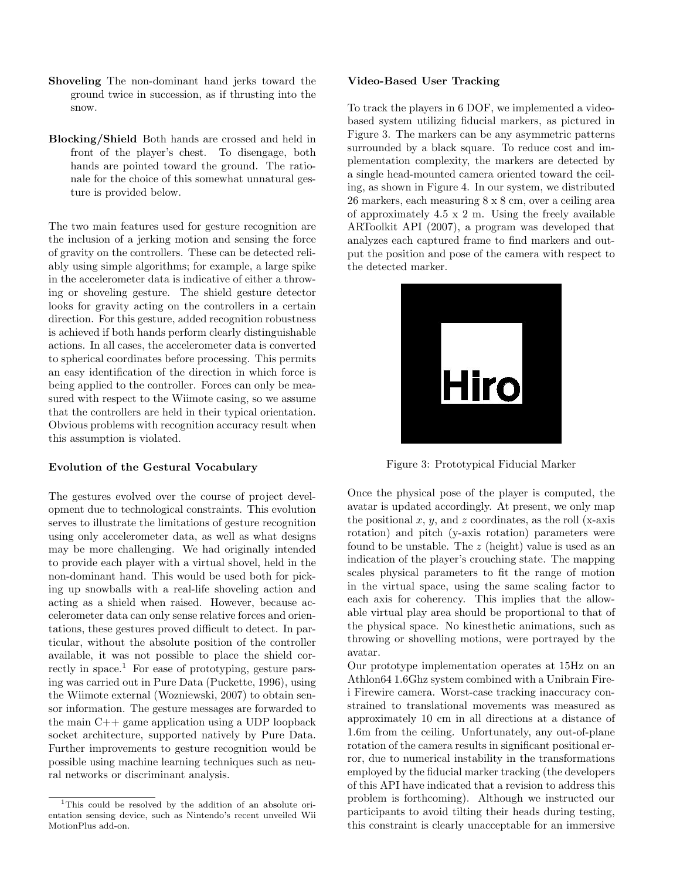- Shoveling The non-dominant hand jerks toward the ground twice in succession, as if thrusting into the snow.
- Blocking/Shield Both hands are crossed and held in front of the player's chest. To disengage, both hands are pointed toward the ground. The rationale for the choice of this somewhat unnatural gesture is provided below.

The two main features used for gesture recognition are the inclusion of a jerking motion and sensing the force of gravity on the controllers. These can be detected reliably using simple algorithms; for example, a large spike in the accelerometer data is indicative of either a throwing or shoveling gesture. The shield gesture detector looks for gravity acting on the controllers in a certain direction. For this gesture, added recognition robustness is achieved if both hands perform clearly distinguishable actions. In all cases, the accelerometer data is converted to spherical coordinates before processing. This permits an easy identification of the direction in which force is being applied to the controller. Forces can only be measured with respect to the Wiimote casing, so we assume that the controllers are held in their typical orientation. Obvious problems with recognition accuracy result when this assumption is violated.

## Evolution of the Gestural Vocabulary

The gestures evolved over the course of project development due to technological constraints. This evolution serves to illustrate the limitations of gesture recognition using only accelerometer data, as well as what designs may be more challenging. We had originally intended to provide each player with a virtual shovel, held in the non-dominant hand. This would be used both for picking up snowballs with a real-life shoveling action and acting as a shield when raised. However, because accelerometer data can only sense relative forces and orientations, these gestures proved difficult to detect. In particular, without the absolute position of the controller available, it was not possible to place the shield correctly in space.<sup>1</sup> For ease of prototyping, gesture parsing was carried out in Pure Data (Puckette, 1996), using the Wiimote external (Wozniewski, 2007) to obtain sensor information. The gesture messages are forwarded to the main C++ game application using a UDP loopback socket architecture, supported natively by Pure Data. Further improvements to gesture recognition would be possible using machine learning techniques such as neural networks or discriminant analysis.

#### Video-Based User Tracking

To track the players in 6 DOF, we implemented a videobased system utilizing fiducial markers, as pictured in Figure 3. The markers can be any asymmetric patterns surrounded by a black square. To reduce cost and implementation complexity, the markers are detected by a single head-mounted camera oriented toward the ceiling, as shown in Figure 4. In our system, we distributed 26 markers, each measuring 8 x 8 cm, over a ceiling area of approximately 4.5 x 2 m. Using the freely available ARToolkit API (2007), a program was developed that analyzes each captured frame to find markers and output the position and pose of the camera with respect to the detected marker.



Figure 3: Prototypical Fiducial Marker

Once the physical pose of the player is computed, the avatar is updated accordingly. At present, we only map the positional  $x, y$ , and  $z$  coordinates, as the roll (x-axis rotation) and pitch (y-axis rotation) parameters were found to be unstable. The z (height) value is used as an indication of the player's crouching state. The mapping scales physical parameters to fit the range of motion in the virtual space, using the same scaling factor to each axis for coherency. This implies that the allowable virtual play area should be proportional to that of the physical space. No kinesthetic animations, such as throwing or shovelling motions, were portrayed by the avatar.

Our prototype implementation operates at 15Hz on an Athlon64 1.6Ghz system combined with a Unibrain Firei Firewire camera. Worst-case tracking inaccuracy constrained to translational movements was measured as approximately 10 cm in all directions at a distance of 1.6m from the ceiling. Unfortunately, any out-of-plane rotation of the camera results in significant positional error, due to numerical instability in the transformations employed by the fiducial marker tracking (the developers of this API have indicated that a revision to address this problem is forthcoming). Although we instructed our participants to avoid tilting their heads during testing, this constraint is clearly unacceptable for an immersive

<sup>&</sup>lt;sup>1</sup>This could be resolved by the addition of an absolute orientation sensing device, such as Nintendo's recent unveiled Wii MotionPlus add-on.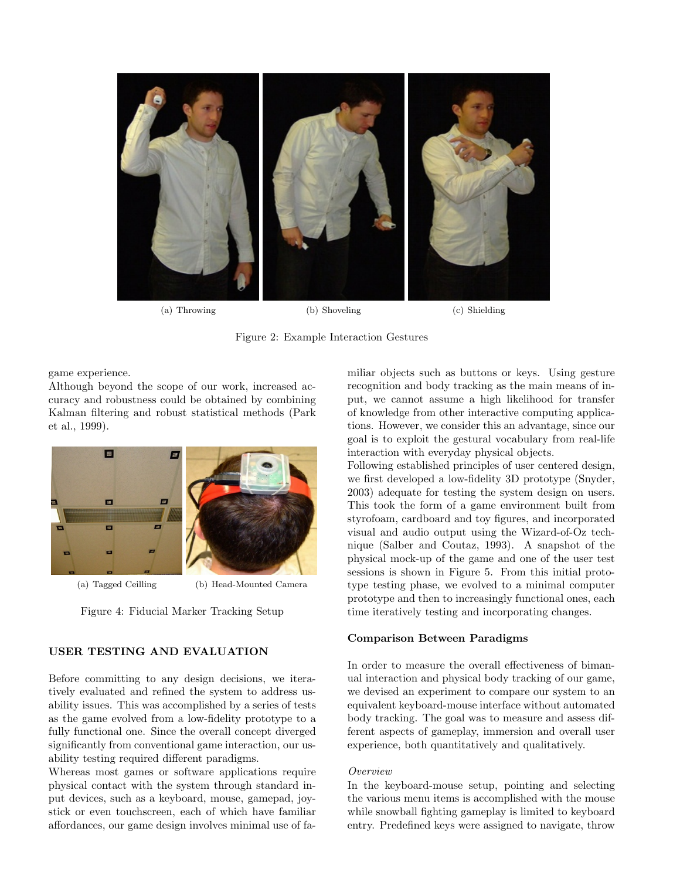

Figure 2: Example Interaction Gestures

game experience.

Although beyond the scope of our work, increased accuracy and robustness could be obtained by combining Kalman filtering and robust statistical methods (Park et al., 1999).



(a) Tagged Ceilling (b) Head-Mounted Camera



# USER TESTING AND EVALUATION

Before committing to any design decisions, we iteratively evaluated and refined the system to address usability issues. This was accomplished by a series of tests as the game evolved from a low-fidelity prototype to a fully functional one. Since the overall concept diverged significantly from conventional game interaction, our usability testing required different paradigms.

Whereas most games or software applications require physical contact with the system through standard input devices, such as a keyboard, mouse, gamepad, joystick or even touchscreen, each of which have familiar affordances, our game design involves minimal use of familiar objects such as buttons or keys. Using gesture recognition and body tracking as the main means of input, we cannot assume a high likelihood for transfer of knowledge from other interactive computing applications. However, we consider this an advantage, since our goal is to exploit the gestural vocabulary from real-life interaction with everyday physical objects.

Following established principles of user centered design, we first developed a low-fidelity 3D prototype (Snyder, 2003) adequate for testing the system design on users. This took the form of a game environment built from styrofoam, cardboard and toy figures, and incorporated visual and audio output using the Wizard-of-Oz technique (Salber and Coutaz, 1993). A snapshot of the physical mock-up of the game and one of the user test sessions is shown in Figure 5. From this initial prototype testing phase, we evolved to a minimal computer prototype and then to increasingly functional ones, each time iteratively testing and incorporating changes.

#### Comparison Between Paradigms

In order to measure the overall effectiveness of bimanual interaction and physical body tracking of our game, we devised an experiment to compare our system to an equivalent keyboard-mouse interface without automated body tracking. The goal was to measure and assess different aspects of gameplay, immersion and overall user experience, both quantitatively and qualitatively.

## Overview

In the keyboard-mouse setup, pointing and selecting the various menu items is accomplished with the mouse while snowball fighting gameplay is limited to keyboard entry. Predefined keys were assigned to navigate, throw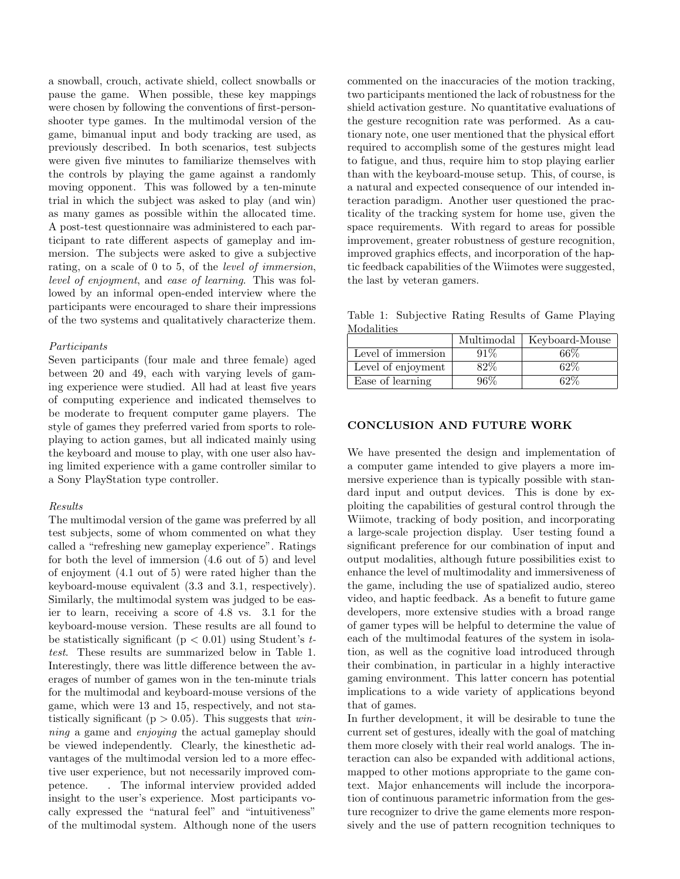a snowball, crouch, activate shield, collect snowballs or pause the game. When possible, these key mappings were chosen by following the conventions of first-personshooter type games. In the multimodal version of the game, bimanual input and body tracking are used, as previously described. In both scenarios, test subjects were given five minutes to familiarize themselves with the controls by playing the game against a randomly moving opponent. This was followed by a ten-minute trial in which the subject was asked to play (and win) as many games as possible within the allocated time. A post-test questionnaire was administered to each participant to rate different aspects of gameplay and immersion. The subjects were asked to give a subjective rating, on a scale of 0 to 5, of the level of immersion, level of enjoyment, and ease of learning. This was followed by an informal open-ended interview where the participants were encouraged to share their impressions of the two systems and qualitatively characterize them.

#### Participants

Seven participants (four male and three female) aged between 20 and 49, each with varying levels of gaming experience were studied. All had at least five years of computing experience and indicated themselves to be moderate to frequent computer game players. The style of games they preferred varied from sports to roleplaying to action games, but all indicated mainly using the keyboard and mouse to play, with one user also having limited experience with a game controller similar to a Sony PlayStation type controller.

### Results

The multimodal version of the game was preferred by all test subjects, some of whom commented on what they called a "refreshing new gameplay experience". Ratings for both the level of immersion (4.6 out of 5) and level of enjoyment (4.1 out of 5) were rated higher than the keyboard-mouse equivalent (3.3 and 3.1, respectively). Similarly, the multimodal system was judged to be easier to learn, receiving a score of 4.8 vs. 3.1 for the keyboard-mouse version. These results are all found to be statistically significant ( $p < 0.01$ ) using Student's ttest. These results are summarized below in Table 1. Interestingly, there was little difference between the averages of number of games won in the ten-minute trials for the multimodal and keyboard-mouse versions of the game, which were 13 and 15, respectively, and not statistically significant ( $p > 0.05$ ). This suggests that winning a game and enjoying the actual gameplay should be viewed independently. Clearly, the kinesthetic advantages of the multimodal version led to a more effective user experience, but not necessarily improved competence. . The informal interview provided added insight to the user's experience. Most participants vocally expressed the "natural feel" and "intuitiveness" of the multimodal system. Although none of the users commented on the inaccuracies of the motion tracking, two participants mentioned the lack of robustness for the shield activation gesture. No quantitative evaluations of the gesture recognition rate was performed. As a cautionary note, one user mentioned that the physical effort required to accomplish some of the gestures might lead to fatigue, and thus, require him to stop playing earlier than with the keyboard-mouse setup. This, of course, is a natural and expected consequence of our intended interaction paradigm. Another user questioned the practicality of the tracking system for home use, given the space requirements. With regard to areas for possible improvement, greater robustness of gesture recognition, improved graphics effects, and incorporation of the haptic feedback capabilities of the Wiimotes were suggested, the last by veteran gamers.

Table 1: Subjective Rating Results of Game Playing Modalities

|                    | Multimodal | Keyboard-Mouse |
|--------------------|------------|----------------|
| Level of immersion | 91%        | 66%            |
| Level of enjoyment | 82\%       | 62%            |
| Ease of learning   | 96%        | $62\%$         |

# CONCLUSION AND FUTURE WORK

We have presented the design and implementation of a computer game intended to give players a more immersive experience than is typically possible with standard input and output devices. This is done by exploiting the capabilities of gestural control through the Wiimote, tracking of body position, and incorporating a large-scale projection display. User testing found a significant preference for our combination of input and output modalities, although future possibilities exist to enhance the level of multimodality and immersiveness of the game, including the use of spatialized audio, stereo video, and haptic feedback. As a benefit to future game developers, more extensive studies with a broad range of gamer types will be helpful to determine the value of each of the multimodal features of the system in isolation, as well as the cognitive load introduced through their combination, in particular in a highly interactive gaming environment. This latter concern has potential implications to a wide variety of applications beyond that of games.

In further development, it will be desirable to tune the current set of gestures, ideally with the goal of matching them more closely with their real world analogs. The interaction can also be expanded with additional actions, mapped to other motions appropriate to the game context. Major enhancements will include the incorporation of continuous parametric information from the gesture recognizer to drive the game elements more responsively and the use of pattern recognition techniques to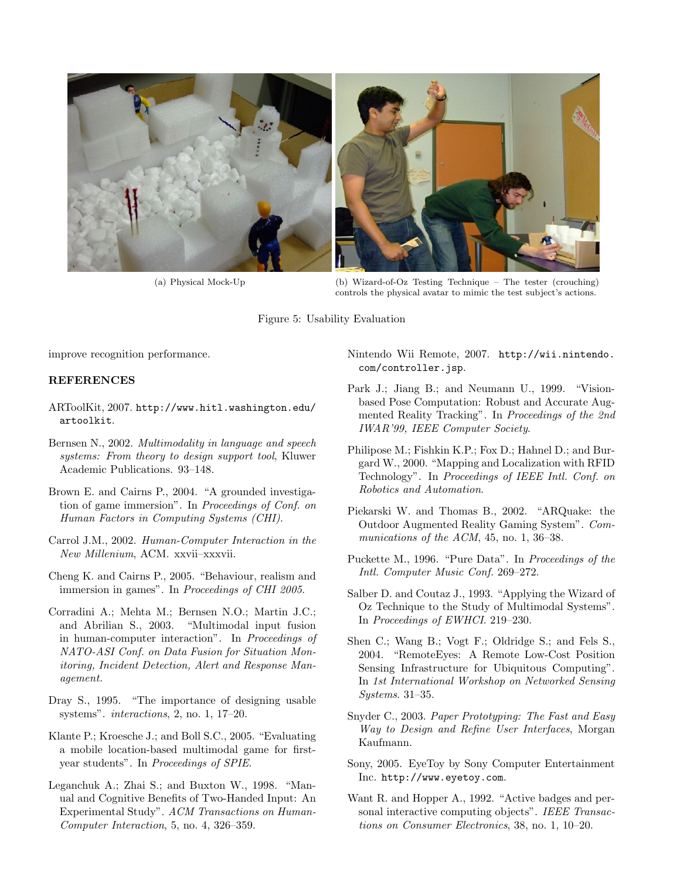

(a) Physical Mock-Up (b) Wizard-of-Oz Testing Technique – The tester (crouching) controls the physical avatar to mimic the test subject's actions.

Figure 5: Usability Evaluation

improve recognition performance.

## REFERENCES

- ARToolKit, 2007. http://www.hitl.washington.edu/ artoolkit.
- Bernsen N., 2002. Multimodality in language and speech systems: From theory to design support tool, Kluwer Academic Publications. 93–148.
- Brown E. and Cairns P., 2004. "A grounded investigation of game immersion". In Proceedings of Conf. on Human Factors in Computing Systems (CHI).
- Carrol J.M., 2002. Human-Computer Interaction in the New Millenium, ACM. xxvii–xxxvii.
- Cheng K. and Cairns P., 2005. "Behaviour, realism and immersion in games". In Proceedings of CHI 2005.
- Corradini A.; Mehta M.; Bernsen N.O.; Martin J.C.; and Abrilian S., 2003. "Multimodal input fusion in human-computer interaction". In Proceedings of NATO-ASI Conf. on Data Fusion for Situation Monitoring, Incident Detection, Alert and Response Management.
- Dray S., 1995. "The importance of designing usable systems". interactions, 2, no. 1, 17–20.
- Klante P.; Kroesche J.; and Boll S.C., 2005. "Evaluating a mobile location-based multimodal game for firstyear students". In Proceedings of SPIE.
- Leganchuk A.; Zhai S.; and Buxton W., 1998. "Manual and Cognitive Benefits of Two-Handed Input: An Experimental Study". ACM Transactions on Human-Computer Interaction, 5, no. 4, 326–359.

Nintendo Wii Remote, 2007. http://wii.nintendo. com/controller.jsp.

- Park J.; Jiang B.; and Neumann U., 1999. "Visionbased Pose Computation: Robust and Accurate Augmented Reality Tracking". In Proceedings of the 2nd IWAR'99, IEEE Computer Society.
- Philipose M.; Fishkin K.P.; Fox D.; Hahnel D.; and Burgard W., 2000. "Mapping and Localization with RFID Technology". In Proceedings of IEEE Intl. Conf. on Robotics and Automation.
- Piekarski W. and Thomas B., 2002. "ARQuake: the Outdoor Augmented Reality Gaming System". Communications of the ACM, 45, no. 1, 36-38.
- Puckette M., 1996. "Pure Data". In Proceedings of the Intl. Computer Music Conf. 269–272.
- Salber D. and Coutaz J., 1993. "Applying the Wizard of Oz Technique to the Study of Multimodal Systems". In Proceedings of EWHCI. 219–230.
- Shen C.; Wang B.; Vogt F.; Oldridge S.; and Fels S., 2004. "RemoteEyes: A Remote Low-Cost Position Sensing Infrastructure for Ubiquitous Computing". In 1st International Workshop on Networked Sensing Systems. 31–35.
- Snyder C., 2003. Paper Prototyping: The Fast and Easy Way to Design and Refine User Interfaces, Morgan Kaufmann.
- Sony, 2005. EyeToy by Sony Computer Entertainment Inc. http://www.eyetoy.com.
- Want R. and Hopper A., 1992. "Active badges and personal interactive computing objects". IEEE Transactions on Consumer Electronics, 38, no. 1, 10–20.